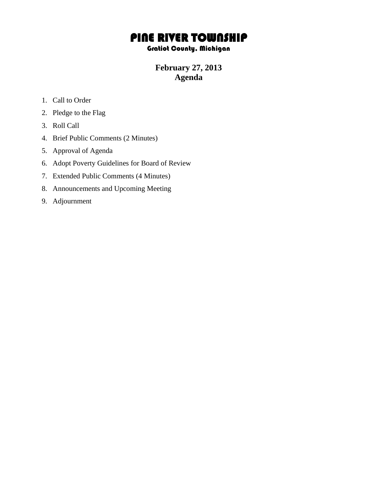## PINE RIVER TOWNSHIP

## Gratiot County, Michigan

## **February 27, 2013 Agenda**

- 1. Call to Order
- 2. Pledge to the Flag
- 3. Roll Call
- 4. Brief Public Comments (2 Minutes)
- 5. Approval of Agenda
- 6. Adopt Poverty Guidelines for Board of Review
- 7. Extended Public Comments (4 Minutes)
- 8. Announcements and Upcoming Meeting
- 9. Adjournment